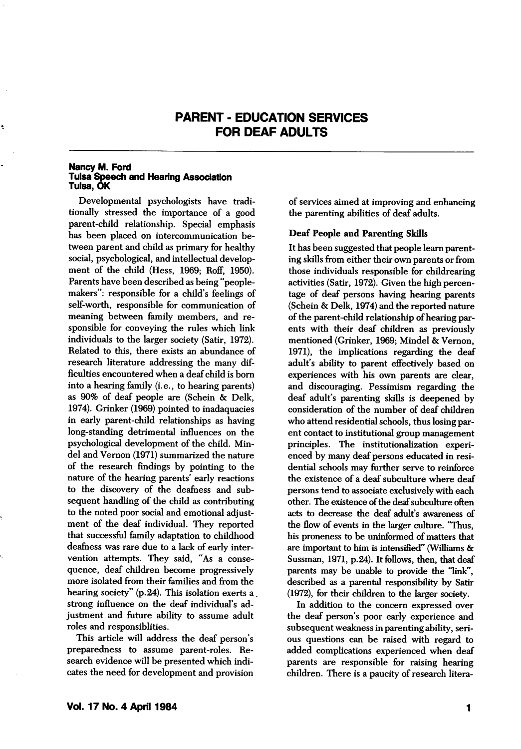# PARENT - EDUCATION SERVICES FOR DEAF ADULTS

#### Nancy M. Ford Tulsa Speech and Hearing Association Tulsa, OK

Developmental psychologists have tradi tionally stressed the importance of a good parent-child relationship. Special emphasis has been placed on intercommunication be tween parent and child as primary for healthy social, psychological, and intellectual develop ment of the child (Hess, 1969; Roff, 1950). Parents have been described as being "peoplemakers": responsible for a child's feelings of self-worth, responsible for communication of meaning between family members, and re sponsible for conveying the rules which link individuals to the larger society (Satir, 1972). Related to this, there exists an abundance of research literature addressing the many dif ficulties encountered when a deaf child is bom into a hearing family (i.e., to hearing parents) as 90% of deaf people are (Schein & Delk, 1974). Grinker (1969) pointed to inadaquacies in early parent-child relationships as having long-standing detrimental influences on the psychological development of the child. Mindel and Vemon (1971) summarized the nature of the research findings by pointing to the nature of the hearing parents' early reactions to the discovery of the deafness and sub sequent handling of the child as contributing to the noted poor social and emotional adjust ment of the deaf individual. They reported that successful family adaptation to childhood deafness was rare due to a lack of early inter vention attempts. They said, "As a conse quence, deaf children become progressively more isolated from their families and from the hearing society" (p. 24). This isolation exerts a. strong influence on the deaf individual's ad justment and future ability to assume adult roles and responsiblities.

This article will address the deaf person's preparedness to assume parent-roles. Re search evidence will be presented which indi cates the need for development and provision of services aimed at improving and enhancing the parenting abilities of deaf adults.

# Deaf People and Parenting Skills

It has been suggested that people leara parent ing skills from either their own parents or from those individuals responsible for childrearing activities (Satir, 1972). Given the high percen tage of deaf persons having hearing parents (Schein & Delk, 1974) and the reported nature of the parent-child relationship of hearing par ents with their deaf children as previously mentioned (Grinker, 1969; Mindel & Vemon, 1971), the implications regarding the deaf adult's abihty to parent effectively based on experiences with his own parents are clear, and discouraging. Pessimism regarding the deaf adult's parenting skills is deepened by consideration of the number of deaf children who attend residential schools, thus losing par ent contact to institutional group management principles. The institutionalization experi enced by many deaf persons educated in resi dential schools may further serve to reinforce the existence of a deaf subculture where deaf persons tend to associate exclusively with each other. The existence of the deaf subculture often acts to decrease the deaf adult's awareness of the flow of events in the larger culture. "Thus, his proneness to be uninformed of matters that are important to him is intensified" (Williams & Sussman, 1971, p. 24). It follows, then, that deaf parents may be unable to provide the "link", described as a parental responsibility by Satir (1972), for their children to the larger society.

In addition to the concern expressed over the deaf person's poor early experience and subsequent weakness in parenting ability, seri ous questions can be raised with regard to added complications experienced when deaf parents are responsible for raising hearing children. There is a paucity of research litera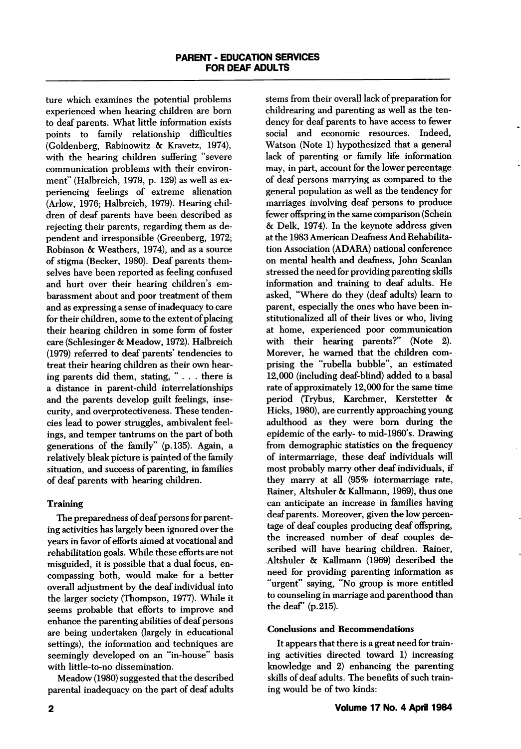ture which examines the potential problems experienced when hearing children are bom to deaf parents. What little information exists points to family relationship difficulties (Goldenberg, Rabinowitz & Kravetz, 1974), with the hearing children suffering "severe communication problems with their environ ment" (Halbreich, 1979, p. 129) as well as ex periencing feelings of extreme alienation (Arlow, 1976; Halbreich, 1979). Hearing chil dren of deaf parents have been described as rejecting their parents, regarding them as de pendent and irresponsible (Greenberg, 1972; Robinson & Weathers, 1974), and as a source of stigma (Becker, 1980). Deaf parents them selves have been reported as feeling confused and hurt over their hearing children's embarassment about and poor treatment of them and as expressing a sense of inadequacy to care for their children, some to the extent of placing their hearing children in some form of foster care (Schlesinger & Meadow, 1972). Halbreich (1979) referred to deaf parents' tendencies to treat their hearing children as their own hear ing parents did them, stating, "... there is a distance in parent-child interrelationships and the parents develop guilt feelings, inse curity, and overprotectiveness. These tenden cies lead to power struggles, ambivalent feel ings, and temper tantrums on the part of both generations of the family" (p. 135). Again, a relatively bleak picture is painted of the family situation, and success of parenting, in families of deaf parents with hearing children.

# Training

The preparedness of deaf persons for parent ing activities has largely been ignored over the years in favor of efforts aimed at vocational and rehabilitation goals. While these efforts are not misguided, it is possible that a dual focus, en compassing both, would make for a better overall adjustment by the deaf individual into the larger society (Thompson, 1977). While it seems probable that efforts to improve and enhance the parenting abilities of deaf persons are being undertaken (largely in educational settings), the information and techniques are seemingly developed on an "in-house" basis with little-to-no dissemination.

Meadow (1980) suggested that the described parental inadequacy on the part of deaf adults stems from their overall lack of preparation for childrearing and parenting as well as the ten dency for deaf parents to have access to fewer social and economic resources. Indeed, Watson (Note 1) hypothesized that a general lack of parenting or family life information may, in part, account for the lower percentage of deaf persons marrying as compared to the general population as well as the tendency for marriages involving deaf persons to produce fewer offspring in the same comparison (Schein & Delk, 1974). In the keynote address given at the 1983 American Deafness And Rehabilita tion Association (ADARA) national conference on mental health and deafness, John Scanlan stressed the need for providing parenting skills information and training to deaf adults. He asked, "Where do they (deaf adults) leam to parent, especially the ones who have been in stitutionalized all of their lives or who, living at home, experienced poor communication with their hearing parents?" (Note 2). Morever, he warned that the children com prising the "rubella bubble", an estimated 12,000 (including deaf-blind) added to a basal rate of approximately 12,000 for the same time period (Trybus, Karchmer, Kerstetter & Hicks, 1980), are currently approaching young adulthood as they were bom during the epidemic of the early- to mid-1960's. Drawing from demographic statistics on the frequency of intermarriage, these deaf individuals will most probably marry other deaf individuals, if they marry at all (95% intermarriage rate, Rainer, Altshuler & Kallmann, 1969), thus one can anticipate an increase in families having deaf parents. Moreover, given the low percen tage of deaf couples producing deaf offspring, the increased number of deaf couples de scribed will have hearing children. Rainer, Altshuler & Kallmann (1969) described the need for providing parenting information as "urgent" saying, "No group is more entitled to counseling in marriage and parenthood than the deaf' (p. 215).

## Conclusions and Recommendations

It appears that there is a great need for train ing activities directed toward 1) increasing knowledge and 2) enhancing the parenting skills of deaf adults. The benefits of such train ing would be of two kinds: